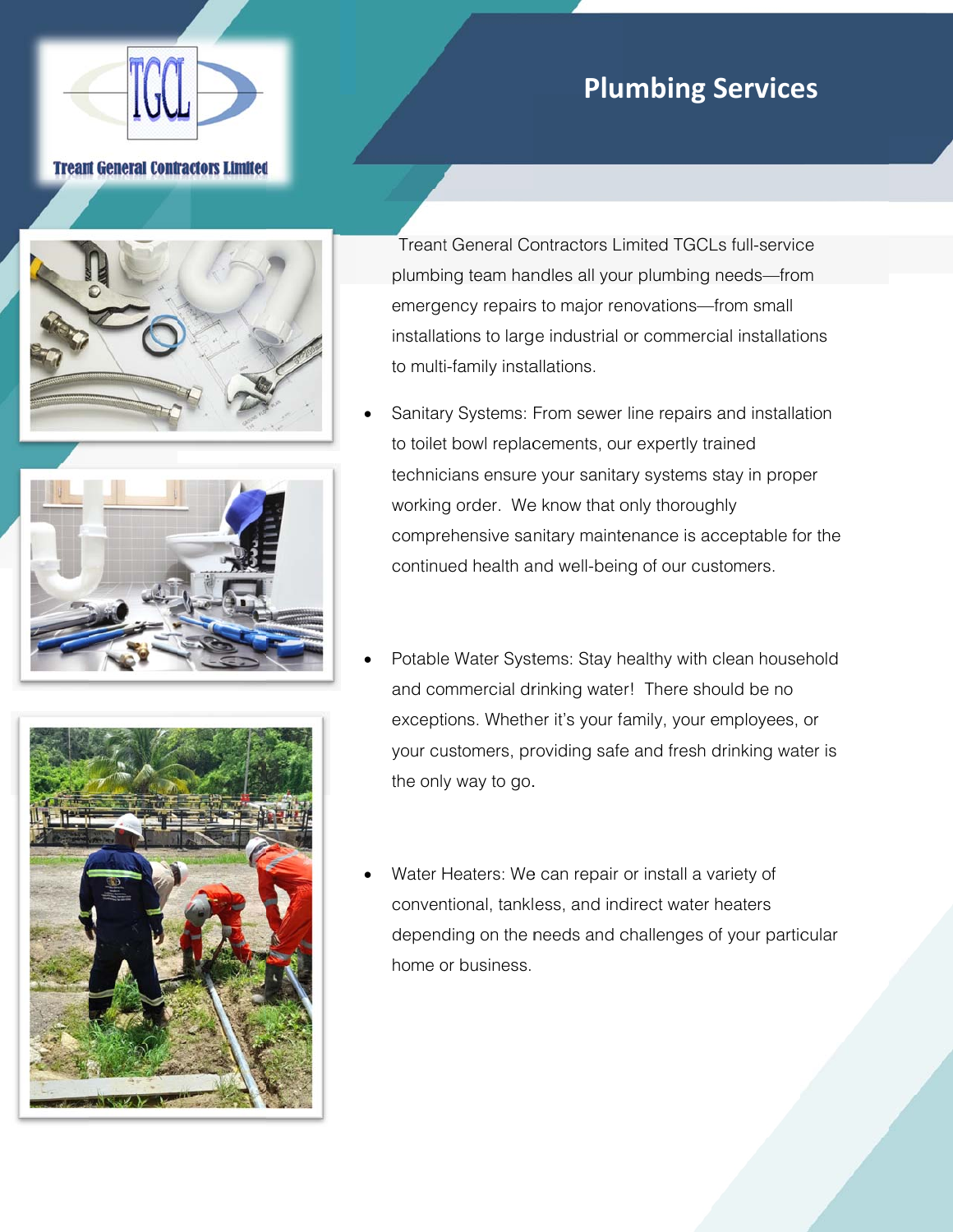## **Plumbing Services**

## **Tream General Contractors Limited**



Treant General Contractors Limited TGCLs full-service plumbing team handles all your plumbing needs-from emergency repairs to major renovations-from small installations to large industrial or commercial installations to multi-family installations.

- Sanitary Systems: From sewer line repairs and installation to toilet bowl replacements, our expertly trained technicians ensure your sanitary systems stay in proper working order. We know that only thoroughly comprehensive sanitary maintenance is acceptable for the continued health and well-being of our customers.
- Potable Water Systems: Stay healthy with clean household and commercial drinking water! There should be no exceptions. Whether it's your family, your employees, or your customers, providing safe and fresh drinking water is the only way to go.
- Water Heaters: We can repair or install a variety of conventional, tankless, and indirect water heaters depending on the needs and challenges of your particular home or business.